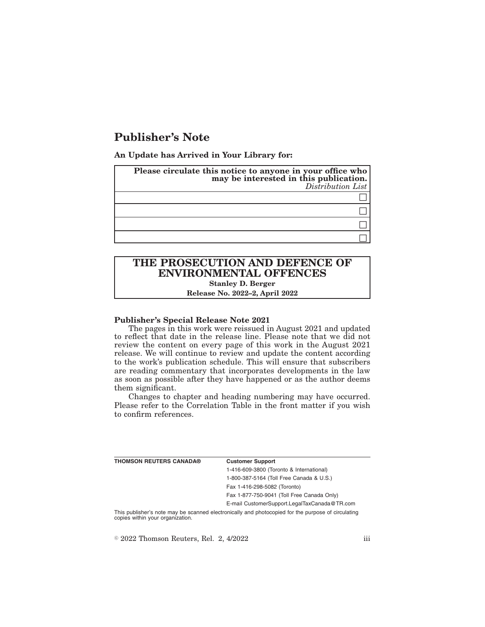# **Publisher's Note**

**An Update has Arrived in Your Library for:**

| Please circulate this notice to anyone in your office who<br>may be interested in this publication.<br>Distribution List |
|--------------------------------------------------------------------------------------------------------------------------|
|                                                                                                                          |
|                                                                                                                          |
|                                                                                                                          |
|                                                                                                                          |

## **THE PROSECUTION AND DEFENCE OF ENVIRONMENTAL OFFENCES Stanley D. Berger**

**Release No. 2022–2, April 2022**

#### **Publisher's Special Release Note 2021**

The pages in this work were reissued in August 2021 and updated to reflect that date in the release line. Please note that we did not review the content on every page of this work in the August 2021 release. We will continue to review and update the content according to the work's publication schedule. This will ensure that subscribers are reading commentary that incorporates developments in the law as soon as possible after they have happened or as the author deems them significant.

Changes to chapter and heading numbering may have occurred. Please refer to the Correlation Table in the front matter if you wish to confirm references.

| <b>THOMSON REUTERS CANADA®</b> | <b>Customer Support</b>                      |
|--------------------------------|----------------------------------------------|
|                                | 1-416-609-3800 (Toronto & International)     |
|                                | 1-800-387-5164 (Toll Free Canada & U.S.)     |
|                                | Fax 1-416-298-5082 (Toronto)                 |
|                                | Fax 1-877-750-9041 (Toll Free Canada Only)   |
|                                | E-mail CustomerSupport.LegalTaxCanada@TR.com |
|                                |                                              |

This publisher's note may be scanned electronically and photocopied for the purpose of circulating copies within your organization.

 $\textdegree$  2022 Thomson Reuters, Rel. 2, 4/2022 iii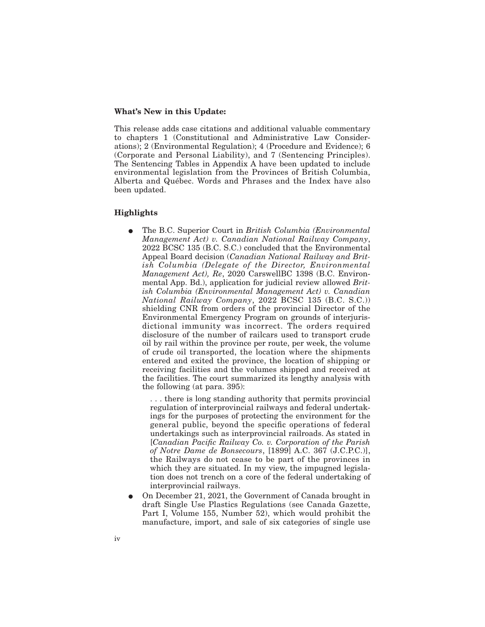#### **What's New in this Update:**

This release adds case citations and additional valuable commentary to chapters 1 (Constitutional and Administrative Law Considerations); 2 (Environmental Regulation); 4 (Procedure and Evidence); 6 (Corporate and Personal Liability), and 7 (Sentencing Principles). The Sentencing Tables in Appendix A have been updated to include environmental legislation from the Provinces of British Columbia, Alberta and Québec. Words and Phrases and the Index have also been updated.

### **Highlights**

E The B.C. Superior Court in *British Columbia (Environmental Management Act) v. Canadian National Railway Company*, 2022 BCSC 135 (B.C. S.C.) concluded that the Environmental Appeal Board decision (*Canadian National Railway and British Columbia (Delegate of the Director, Environmental Management Act), Re*, 2020 CarswellBC 1398 (B.C. Environmental App. Bd.), application for judicial review allowed *British Columbia (Environmental Management Act) v. Canadian National Railway Company*, 2022 BCSC 135 (B.C. S.C.)) shielding CNR from orders of the provincial Director of the Environmental Emergency Program on grounds of interjurisdictional immunity was incorrect. The orders required disclosure of the number of railcars used to transport crude oil by rail within the province per route, per week, the volume of crude oil transported, the location where the shipments entered and exited the province, the location of shipping or receiving facilities and the volumes shipped and received at the facilities. The court summarized its lengthy analysis with the following (at para. 395):

. . . there is long standing authority that permits provincial regulation of interprovincial railways and federal undertakings for the purposes of protecting the environment for the general public, beyond the specific operations of federal undertakings such as interprovincial railroads. As stated in [*Canadian Pacific Railway Co. v. Corporation of the Parish of Notre Dame de Bonsecours*, [1899] A.C. 367 (J.C.P.C.)], the Railways do not cease to be part of the provinces in which they are situated. In my view, the impugned legislation does not trench on a core of the federal undertaking of interprovincial railways.

E On December 21, 2021, the Government of Canada brought in draft Single Use Plastics Regulations (see Canada Gazette, Part I, Volume 155, Number 52), which would prohibit the manufacture, import, and sale of six categories of single use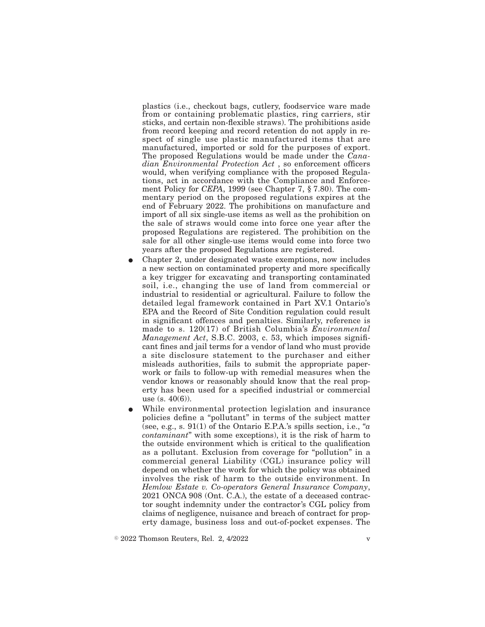plastics (i.e., checkout bags, cutlery, foodservice ware made from or containing problematic plastics, ring carriers, stir sticks, and certain non-flexible straws). The prohibitions aside from record keeping and record retention do not apply in respect of single use plastic manufactured items that are manufactured, imported or sold for the purposes of export. The proposed Regulations would be made under the *Canadian Environmental Protection Act* , so enforcement officers would, when verifying compliance with the proposed Regulations, act in accordance with the Compliance and Enforcement Policy for *CEPA*, 1999 (see Chapter 7, § 7.80). The commentary period on the proposed regulations expires at the end of February 2022. The prohibitions on manufacture and import of all six single-use items as well as the prohibition on the sale of straws would come into force one year after the proposed Regulations are registered. The prohibition on the sale for all other single-use items would come into force two years after the proposed Regulations are registered.

- E Chapter 2, under designated waste exemptions, now includes a new section on contaminated property and more specifically a key trigger for excavating and transporting contaminated soil, i.e., changing the use of land from commercial or industrial to residential or agricultural. Failure to follow the detailed legal framework contained in Part XV.1 Ontario's EPA and the Record of Site Condition regulation could result in significant offences and penalties. Similarly, reference is made to s. 120(17) of British Columbia's *Environmental Management Act*, S.B.C. 2003, c. 53, which imposes significant fines and jail terms for a vendor of land who must provide a site disclosure statement to the purchaser and either misleads authorities, fails to submit the appropriate paperwork or fails to follow-up with remedial measures when the vendor knows or reasonably should know that the real property has been used for a specified industrial or commercial use  $(s. 40(6))$ .
- While environmental protection legislation and insurance policies define a "pollutant" in terms of the subject matter (see, e.g., s. 91(1) of the Ontario E.P.A.'s spills section, i.e., "*a contaminant*" with some exceptions), it is the risk of harm to the outside environment which is critical to the qualification as a pollutant. Exclusion from coverage for "pollution" in a commercial general Liability (CGL) insurance policy will depend on whether the work for which the policy was obtained involves the risk of harm to the outside environment. In *Hemlow Estate v. Co-operators General Insurance Company*, 2021 ONCA 908 (Ont. C.A.), the estate of a deceased contractor sought indemnity under the contractor's CGL policy from claims of negligence, nuisance and breach of contract for property damage, business loss and out-of-pocket expenses. The

 $\degree$  2022 Thomson Reuters, Rel. 2, 4/2022 v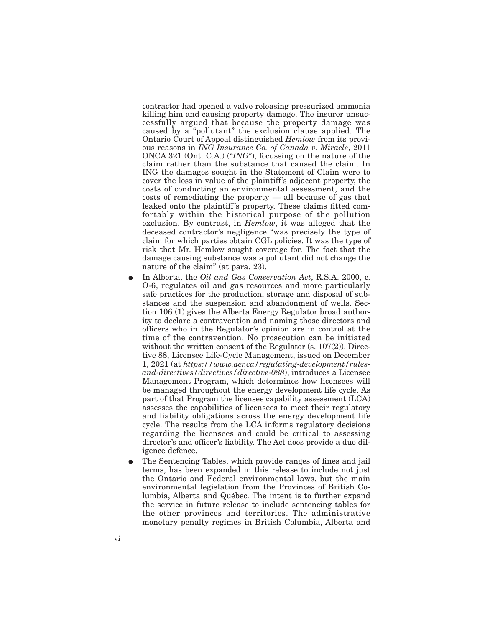contractor had opened a valve releasing pressurized ammonia killing him and causing property damage. The insurer unsuccessfully argued that because the property damage was caused by a "pollutant" the exclusion clause applied. The Ontario Court of Appeal distinguished *Hemlow* from its previous reasons in *ING Insurance Co. of Canada v. Miracle*, 2011 ONCA 321 (Ont. C.A.) ("*ING*"), focussing on the nature of the claim rather than the substance that caused the claim. In ING the damages sought in the Statement of Claim were to cover the loss in value of the plaintiff's adjacent property, the costs of conducting an environmental assessment, and the costs of remediating the property — all because of gas that leaked onto the plaintiff's property. These claims fitted comfortably within the historical purpose of the pollution exclusion. By contrast, in *Hemlow*, it was alleged that the deceased contractor's negligence "was precisely the type of claim for which parties obtain CGL policies. It was the type of risk that Mr. Hemlow sought coverage for. The fact that the damage causing substance was a pollutant did not change the nature of the claim" (at para. 23).

- E In Alberta, the *Oil and Gas Conservation Act*, R.S.A. 2000, c. O-6, regulates oil and gas resources and more particularly safe practices for the production, storage and disposal of substances and the suspension and abandonment of wells. Section 106 (1) gives the Alberta Energy Regulator broad authority to declare a contravention and naming those directors and officers who in the Regulator's opinion are in control at the time of the contravention. No prosecution can be initiated without the written consent of the Regulator  $(s, 107(2))$ . Directive 88, Licensee Life-Cycle Management, issued on December 1, 2021 (at *https://www.aer.ca/regulating-development/rulesand-directives/directives/directive-088*), introduces a Licensee Management Program, which determines how licensees will be managed throughout the energy development life cycle. As part of that Program the licensee capability assessment (LCA) assesses the capabilities of licensees to meet their regulatory and liability obligations across the energy development life cycle. The results from the LCA informs regulatory decisions regarding the licensees and could be critical to assessing director's and officer's liability. The Act does provide a due diligence defence.
- The Sentencing Tables, which provide ranges of fines and jail terms, has been expanded in this release to include not just the Ontario and Federal environmental laws, but the main environmental legislation from the Provinces of British Columbia, Alberta and Québec. The intent is to further expand the service in future release to include sentencing tables for the other provinces and territories. The administrative monetary penalty regimes in British Columbia, Alberta and